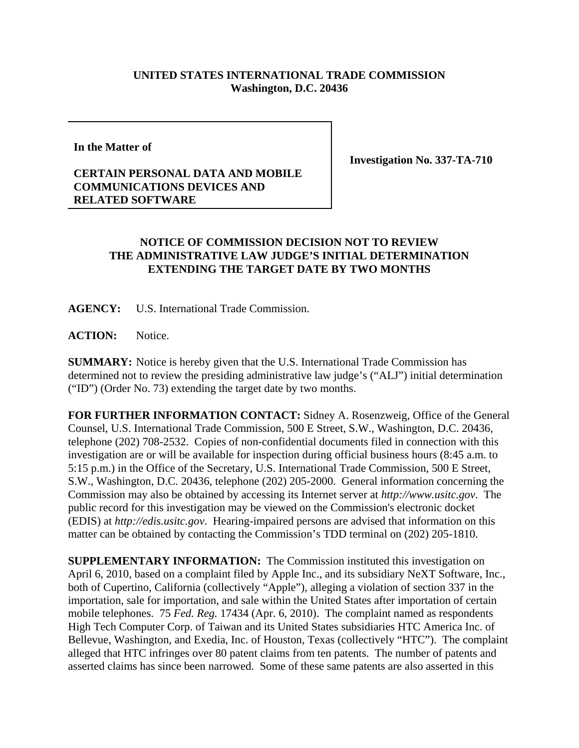## **UNITED STATES INTERNATIONAL TRADE COMMISSION Washington, D.C. 20436**

**In the Matter of**

**Investigation No. 337-TA-710**

## **CERTAIN PERSONAL DATA AND MOBILE COMMUNICATIONS DEVICES AND RELATED SOFTWARE**

## **NOTICE OF COMMISSION DECISION NOT TO REVIEW THE ADMINISTRATIVE LAW JUDGE'S INITIAL DETERMINATION EXTENDING THE TARGET DATE BY TWO MONTHS**

**AGENCY:** U.S. International Trade Commission.

**ACTION:** Notice.

**SUMMARY:** Notice is hereby given that the U.S. International Trade Commission has determined not to review the presiding administrative law judge's ("ALJ") initial determination ("ID") (Order No. 73) extending the target date by two months.

**FOR FURTHER INFORMATION CONTACT:** Sidney A. Rosenzweig, Office of the General Counsel, U.S. International Trade Commission, 500 E Street, S.W., Washington, D.C. 20436, telephone (202) 708-2532. Copies of non-confidential documents filed in connection with this investigation are or will be available for inspection during official business hours (8:45 a.m. to 5:15 p.m.) in the Office of the Secretary, U.S. International Trade Commission, 500 E Street, S.W., Washington, D.C. 20436, telephone (202) 205-2000. General information concerning the Commission may also be obtained by accessing its Internet server at *http://www.usitc.gov*. The public record for this investigation may be viewed on the Commission's electronic docket (EDIS) at *http://edis.usitc.gov*. Hearing-impaired persons are advised that information on this matter can be obtained by contacting the Commission's TDD terminal on (202) 205-1810.

**SUPPLEMENTARY INFORMATION:** The Commission instituted this investigation on April 6, 2010, based on a complaint filed by Apple Inc., and its subsidiary NeXT Software, Inc., both of Cupertino, California (collectively "Apple"), alleging a violation of section 337 in the importation, sale for importation, and sale within the United States after importation of certain mobile telephones. 75 *Fed. Reg.* 17434 (Apr. 6, 2010). The complaint named as respondents High Tech Computer Corp. of Taiwan and its United States subsidiaries HTC America Inc. of Bellevue, Washington, and Exedia, Inc. of Houston, Texas (collectively "HTC"). The complaint alleged that HTC infringes over 80 patent claims from ten patents. The number of patents and asserted claims has since been narrowed. Some of these same patents are also asserted in this